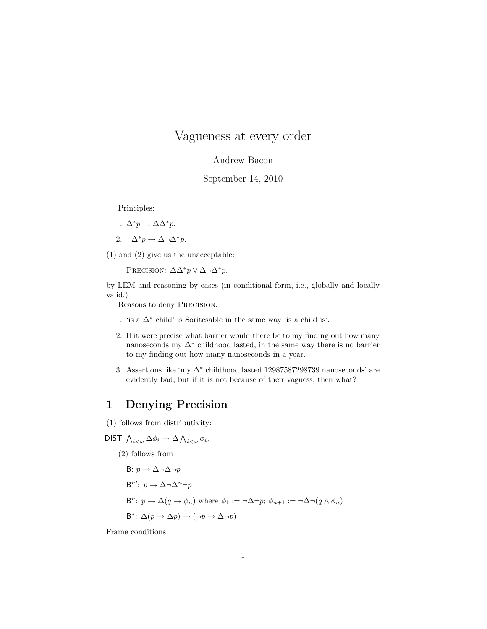# Vagueness at every order

#### Andrew Bacon

#### September 14, 2010

Principles:

1. 
$$
\Delta^* p \to \Delta \Delta^* p.
$$

$$
2. \ \ \neg \Delta^* p \to \Delta \neg \Delta^* p.
$$

(1) and (2) give us the unacceptable:

PRECISION:  $\Delta \Delta^* p \vee \Delta \neg \Delta^* p$ .

by LEM and reasoning by cases (in conditional form, i.e., globally and locally valid.)

Reasons to deny Precision:

- 1. 'is a  $\Delta^*$  child' is Soritesable in the same way 'is a child is'.
- 2. If it were precise what barrier would there be to my finding out how many nanoseconds my  $\Delta^*$  childhood lasted, in the same way there is no barrier to my finding out how many nanoseconds in a year.
- 3. Assertions like 'my  $\Delta^*$  childhood lasted 12987587298739 nanoseconds' are evidently bad, but if it is not because of their vaguess, then what?

## 1 Denying Precision

(1) follows from distributivity:

DIST  $\bigwedge_{i<\omega}\Delta\phi_i\to\Delta\bigwedge_{i<\omega}\phi_i$ .

(2) follows from

\n- B: 
$$
p \to \Delta \neg \Delta \neg p
$$
\n- B"':  $p \to \Delta \neg \Delta^n \neg p$
\n- B"':  $p \to \Delta(q \to \phi_n)$  where  $\phi_1 := \neg \Delta \neg p$ ;  $\phi_{n+1} := \neg \Delta \neg (q \wedge \phi_n)$
\n- B\*:  $\Delta(p \to \Delta p) \to (\neg p \to \Delta \neg p)$
\n

Frame conditions